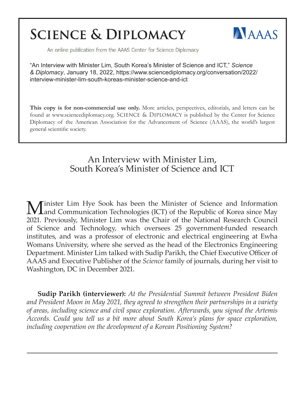## **SCIENCE & DIPLOMACY**



An online publication from the AAAS Center for Science Diplomacy

"An Interview with Minister Lim, South Korea's Minister of Science and ICT," *Science & Diplomacy*, January 18, 2022, https://www.sciencediplomacy.org/conversation/2022/ interview-minister-lim-south-koreas-minister-science-and-ict

**This copy is for non-commercial use only.** More articles, perspectives, editorials, and letters can be found at www.sciencediplomacy.org. SCIENCE & DIPLOMACY is published by the Center for Science Diplomacy of the American Association for the Advancement of Science (AAAS), the world's largest general scientific society.

## An Interview with Minister Lim, South Korea's Minister of Science and ICT

M inister Lim Hye Sook has been the Minister of Science and Information Technologies (ICT) of the Republic of Korea since May 2021. Previously, Minister Lim was the Chair of the National Research Council of Science and Technology, which oversees 25 government-funded research institutes, and was a professor of electronic and electrical engineering at Ewha Womans University, where she served as the head of the Electronics Engineering Department. Minister Lim talked with Sudip Parikh, the Chief Executive Officer of AAAS and Executive Publisher of the *Science* family of journals, during her visit to Washington, DC in December 2021.

**Sudip Parikh (interviewer):** *At the Presidential Summit between President Biden and President Moon in May 2021, they agreed to strengthen their partnerships in a variety of areas, including science and civil space exploration. Afterwards, you signed the Artemis Accords. Could you tell us a bit more about South Korea's plans for space exploration, including cooperation on the development of a Korean Positioning System?*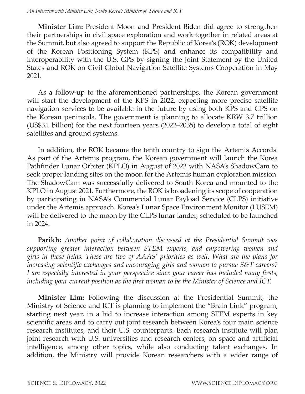**Minister Lim:** President Moon and President Biden did agree to strengthen their partnerships in civil space exploration and work together in related areas at the Summit, but also agreed to support the Republic of Korea's (ROK) development of the Korean Positioning System (KPS) and enhance its compatibility and interoperability with the U.S. GPS by signing the Joint Statement by the United States and ROK on Civil Global Navigation Satellite Systems Cooperation in May 2021.

As a follow-up to the aforementioned partnerships, the Korean government will start the development of the KPS in 2022, expecting more precise satellite navigation services to be available in the future by using both KPS and GPS on the Korean peninsula. The government is planning to allocate KRW 3.7 trillion (US\$3.1 billion) for the next fourteen years (2022–2035) to develop a total of eight satellites and ground systems.

In addition, the ROK became the tenth country to sign the Artemis Accords. As part of the Artemis program, the Korean government will launch the Korea Pathfinder Lunar Orbiter (KPLO) in August of 2022 with NASA's ShadowCam to seek proper landing sites on the moon for the Artemis human exploration mission. The ShadowCam was successfully delivered to South Korea and mounted to the KPLO in August 2021. Furthermore, the ROK is broadening its scope of cooperation by participating in NASA's Commercial Lunar Payload Service (CLPS) initiative under the Artemis approach. Korea's Lunar Space Environment Monitor (LUSEM) will be delivered to the moon by the CLPS lunar lander, scheduled to be launched in 2024.

**Parikh:** *Another point of collaboration discussed at the Presidential Summit was supporting greater interaction between STEM experts, and empowering women and girls in these fields. These are two of AAAS' priorities as well. What are the plans for increasing scientific exchanges and encouraging girls and women to pursue S&T careers? I am especially interested in your perspective since your career has included many firsts, including your current position as the first woman to be the Minister of Science and ICT.*

**Minister Lim:** Following the discussion at the Presidential Summit, the Ministry of Science and ICT is planning to implement the "Brain Link" program, starting next year, in a bid to increase interaction among STEM experts in key scientific areas and to carry out joint research between Korea's four main science research institutes, and their U.S. counterparts. Each research institute will plan joint research with U.S. universities and research centers, on space and artificial intelligence, among other topics, while also conducting talent exchanges. In addition, the Ministry will provide Korean researchers with a wider range of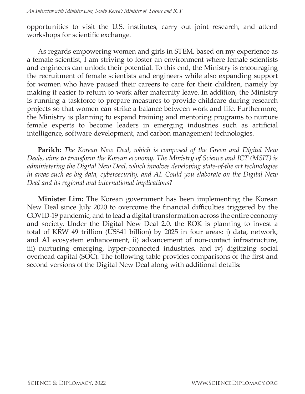opportunities to visit the U.S. institutes, carry out joint research, and attend workshops for scientific exchange.

As regards empowering women and girls in STEM, based on my experience as a female scientist, I am striving to foster an environment where female scientists and engineers can unlock their potential. To this end, the Ministry is encouraging the recruitment of female scientists and engineers while also expanding support for women who have paused their careers to care for their children, namely by making it easier to return to work after maternity leave. In addition, the Ministry is running a taskforce to prepare measures to provide childcare during research projects so that women can strike a balance between work and life. Furthermore, the Ministry is planning to expand training and mentoring programs to nurture female experts to become leaders in emerging industries such as artificial intelligence, software development, and carbon management technologies.

**Parikh:** *The Korean New Deal, which is composed of the Green and Digital New Deals, aims to transform the Korean economy. The Ministry of Science and ICT (MSIT) is administering the Digital New Deal, which involves developing state-of-the art technologies in areas such as big data, cybersecurity, and AI. Could you elaborate on the Digital New Deal and its regional and international implications?*

**Minister Lim:** The Korean government has been implementing the Korean New Deal since July 2020 to overcome the financial difficulties triggered by the COVID-19 pandemic, and to lead a digital transformation across the entire economy and society. Under the Digital New Deal 2.0, the ROK is planning to invest a total of KRW 49 trillion (US\$41 billion) by 2025 in four areas: i) data, network, and AI ecosystem enhancement, ii) advancement of non-contact infrastructure, iii) nurturing emerging, hyper-connected industries, and iv) digitizing social overhead capital (SOC). The following table provides comparisons of the first and second versions of the Digital New Deal along with additional details: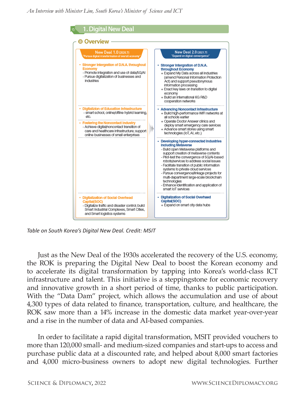

*Table on South Korea's Digital New Deal. Credit: MSIT*

Just as the New Deal of the 1930s accelerated the recovery of the U.S. economy, the ROK is preparing the Digital New Deal to boost the Korean economy and to accelerate its digital transformation by tapping into Korea's world-class ICT infrastructure and talent. This initiative is a steppingstone for economic recovery and innovative growth in a short period of time, thanks to public participation. With the "Data Dam" project, which allows the accumulation and use of about 4,300 types of data related to finance, transportation, culture, and healthcare, the ROK saw more than a 14% increase in the domestic data market year-over-year and a rise in the number of data and AI-based companies.

In order to facilitate a rapid digital transformation, MSIT provided vouchers to more than 120,000 small- and medium-sized companies and start-ups to access and purchase public data at a discounted rate, and helped about 8,000 smart factories and 4,000 micro-business owners to adopt new digital technologies. Further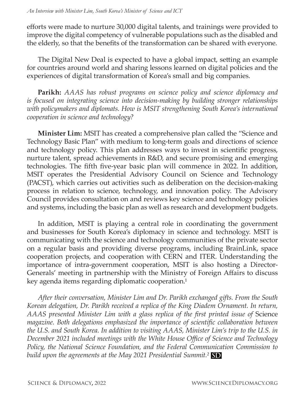efforts were made to nurture 30,000 digital talents, and trainings were provided to improve the digital competency of vulnerable populations such as the disabled and the elderly, so that the benefits of the transformation can be shared with everyone.

The Digital New Deal is expected to have a global impact, setting an example for countries around world and sharing lessons learned on digital policies and the experiences of digital transformation of Korea's small and big companies.

**Parikh:** *AAAS has robust programs on science policy and science diplomacy and is focused on integrating science into decision-making by building stronger relationships with policymakers and diplomats. How is MSIT strengthening South Korea's international cooperation in science and technology?*

**Minister Lim:** MSIT has created a comprehensive plan called the "Science and Technology Basic Plan" with medium to long-term goals and directions of science and technology policy. This plan addresses ways to invest in scientific progress, nurture talent, spread achievements in R&D, and secure promising and emerging technologies. The fifth five-year basic plan will commence in 2022. In addition, MSIT operates the Presidential Advisory Council on Science and Technology (PACST), which carries out activities such as deliberation on the decision-making process in relation to science, technology, and innovation policy. The Advisory Council provides consultation on and reviews key science and technology policies and systems, including the basic plan as well as research and development budgets.

In addition, MSIT is playing a central role in coordinating the government and businesses for South Korea's diplomacy in science and technology. MSIT is communicating with the science and technology communities of the private sector on a regular basis and providing diverse programs, including BrainLink, space cooperation projects, and cooperation with CERN and ITER. Understanding the importance of intra-government cooperation, MSIT is also hosting a Director-Generals' meeting in partnership with the Ministry of Foreign Affairs to discuss key agenda items regarding diplomatic cooperation.<sup>1</sup>

*After their conversation, Minister Lim and Dr. Parikh exchanged gifts. From the South Korean delegation, Dr. Parikh received a replica of the King Diadem Ornament. In return, AAAS presented Minister Lim with a glass replica of the first printed issue of* Science *magazine. Both delegations emphasized the importance of scientific collaboration between the U.S. and South Korea. In addition to visiting AAAS, Minister Lim's trip to the U.S. in December 2021 included meetings with the White House Office of Science and Technology Policy, the National Science Foundation, and the Federal Communication Commission to build upon the agreements at the May 2021 Presidential Summit.²* **SD**